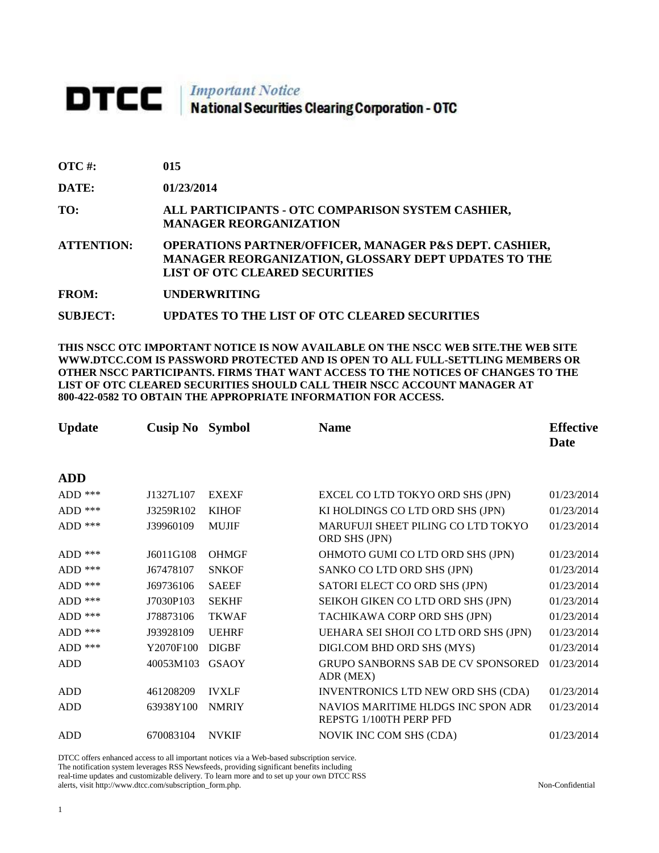## **DTCC** National Securities Clearing Corporation - OTC

| <b>OTC#:</b>      | 015                                                                                                                                                                       |
|-------------------|---------------------------------------------------------------------------------------------------------------------------------------------------------------------------|
| DATE:             | 01/23/2014                                                                                                                                                                |
| TO:               | ALL PARTICIPANTS - OTC COMPARISON SYSTEM CASHIER,<br><b>MANAGER REORGANIZATION</b>                                                                                        |
| <b>ATTENTION:</b> | <b>OPERATIONS PARTNER/OFFICER, MANAGER P&amp;S DEPT. CASHIER,</b><br><b>MANAGER REORGANIZATION, GLOSSARY DEPT UPDATES TO THE</b><br><b>LIST OF OTC CLEARED SECURITIES</b> |
| <b>FROM:</b>      | <b>UNDERWRITING</b>                                                                                                                                                       |

**SUBJECT: UPDATES TO THE LIST OF OTC CLEARED SECURITIES**

**THIS NSCC OTC IMPORTANT NOTICE IS NOW AVAILABLE ON THE NSCC WEB SITE.THE WEB SITE WWW.DTCC.COM IS PASSWORD PROTECTED AND IS OPEN TO ALL FULL-SETTLING MEMBERS OR OTHER NSCC PARTICIPANTS. FIRMS THAT WANT ACCESS TO THE NOTICES OF CHANGES TO THE LIST OF OTC CLEARED SECURITIES SHOULD CALL THEIR NSCC ACCOUNT MANAGER AT 800-422-0582 TO OBTAIN THE APPROPRIATE INFORMATION FOR ACCESS.** 

| <b>Update</b>      | <b>Cusip No</b> | <b>Symbol</b> | <b>Name</b>                                                   | <b>Effective</b><br><b>Date</b> |
|--------------------|-----------------|---------------|---------------------------------------------------------------|---------------------------------|
| <b>ADD</b>         |                 |               |                                                               |                                 |
| $ADD$ ***          | J1327L107       | <b>EXEXF</b>  | EXCEL CO LTD TOKYO ORD SHS (JPN)                              | 01/23/2014                      |
| $ADD$ ***          | J3259R102       | <b>KIHOF</b>  | KI HOLDINGS CO LTD ORD SHS (JPN)                              | 01/23/2014                      |
| $ADD$ ***          | J39960109       | <b>MUJIF</b>  | MARUFUJI SHEET PILING CO LTD TOKYO<br>ORD SHS (JPN)           | 01/23/2014                      |
| $ADD$ ***          | J6011G108       | <b>OHMGF</b>  | OHMOTO GUMI CO LTD ORD SHS (JPN)                              | 01/23/2014                      |
| $ADD$ ***          | J67478107       | <b>SNKOF</b>  | SANKO CO LTD ORD SHS (JPN)                                    | 01/23/2014                      |
| $ADD$ ***          | J69736106       | <b>SAEEF</b>  | SATORI ELECT CO ORD SHS (JPN)                                 | 01/23/2014                      |
| $ADD$ ***          | J7030P103       | <b>SEKHF</b>  | SEIKOH GIKEN CO LTD ORD SHS (JPN)                             | 01/23/2014                      |
| ADD $\ast\ast\ast$ | J78873106       | <b>TKWAF</b>  | TACHIKAWA CORP ORD SHS (JPN)                                  | 01/23/2014                      |
| $ADD$ ***          | J93928109       | <b>UEHRF</b>  | UEHARA SEI SHOJI CO LTD ORD SHS (JPN)                         | 01/23/2014                      |
| $ADD$ ***          | Y2070F100       | <b>DIGBF</b>  | DIGI.COM BHD ORD SHS (MYS)                                    | 01/23/2014                      |
| <b>ADD</b>         | 40053M103       | <b>GSAOY</b>  | <b>GRUPO SANBORNS SAB DE CV SPONSORED</b><br>ADR (MEX)        | 01/23/2014                      |
| <b>ADD</b>         | 461208209       | <b>IVXLF</b>  | INVENTRONICS LTD NEW ORD SHS (CDA)                            | 01/23/2014                      |
| <b>ADD</b>         | 63938Y100       | <b>NMRIY</b>  | NAVIOS MARITIME HLDGS INC SPON ADR<br>REPSTG 1/100TH PERP PFD | 01/23/2014                      |
| ADD                | 670083104       | <b>NVKIF</b>  | NOVIK INC COM SHS (CDA)                                       | 01/23/2014                      |

DTCC offers enhanced access to all important notices via a Web-based subscription service.

The notification system leverages RSS Newsfeeds, providing significant benefits including real-time updates and customizable delivery. To learn more and to set up your own DTCC RSS

alerts, visit http://www.dtcc.com/subscription\_form.php. Non-Confidential